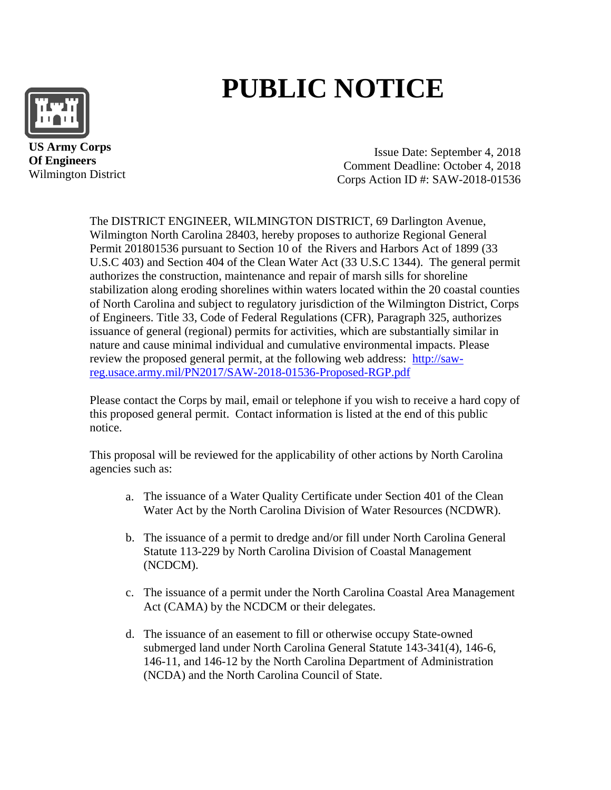

# **PUBLIC NOTICE**

 **US Army Corps Of Engineers** Wilmington District

Issue Date: September 4, 2018 Comment Deadline: October 4, 2018 Corps Action ID #: SAW-2018-01536

The DISTRICT ENGINEER, WILMINGTON DISTRICT, 69 Darlington Avenue, Wilmington North Carolina 28403, hereby proposes to authorize Regional General Permit 201801536 pursuant to Section 10 of the Rivers and Harbors Act of 1899 (33 U.S.C 403) and Section 404 of the Clean Water Act (33 U.S.C 1344). The general permit authorizes the construction, maintenance and repair of marsh sills for shoreline stabilization along eroding shorelines within waters located within the 20 coastal counties of North Carolina and subject to regulatory jurisdiction of the Wilmington District, Corps of Engineers. Title 33, Code of Federal Regulations (CFR), Paragraph 325, authorizes issuance of general (regional) permits for activities, which are substantially similar in nature and cause minimal individual and cumulative environmental impacts. Please review the proposed general permit, at the following web address: [http://saw](http://saw-reg.usace.army.mil/PN2017/SAW-2018-01536-Proposed-RGP.pdf)[reg.usace.army.mil/PN2017/SAW-2018-01536-Proposed-RGP.pdf](http://saw-reg.usace.army.mil/PN2017/SAW-2018-01536-Proposed-RGP.pdf) 

Please contact the Corps by mail, email or telephone if you wish to receive a hard copy of this proposed general permit. Contact information is listed at the end of this public notice.

This proposal will be reviewed for the applicability of other actions by North Carolina agencies such as:

- a. The issuance of a Water Quality Certificate under Section 401 of the Clean Water Act by the North Carolina Division of Water Resources (NCDWR).
- b. The issuance of a permit to dredge and/or fill under North Carolina General Statute 113-229 by North Carolina Division of Coastal Management (NCDCM).
- c. The issuance of a permit under the North Carolina Coastal Area Management Act (CAMA) by the NCDCM or their delegates.
- d. The issuance of an easement to fill or otherwise occupy State-owned submerged land under North Carolina General Statute 143-341(4), 146-6, 146-11, and 146-12 by the North Carolina Department of Administration (NCDA) and the North Carolina Council of State.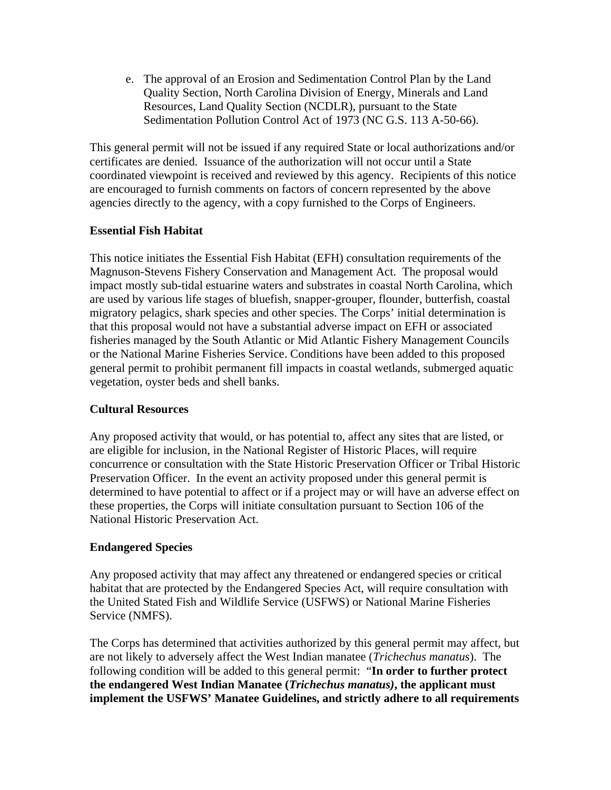e. The approval of an Erosion and Sedimentation Control Plan by the Land Quality Section, North Carolina Division of Energy, Minerals and Land Resources, Land Quality Section (NCDLR), pursuant to the State Sedimentation Pollution Control Act of 1973 (NC G.S. 113 A-50-66).

This general permit will not be issued if any required State or local authorizations and/or certificates are denied. Issuance of the authorization will not occur until a State coordinated viewpoint is received and reviewed by this agency. Recipients of this notice are encouraged to furnish comments on factors of concern represented by the above agencies directly to the agency, with a copy furnished to the Corps of Engineers.

### **Essential Fish Habitat**

This notice initiates the Essential Fish Habitat (EFH) consultation requirements of the Magnuson-Stevens Fishery Conservation and Management Act. The proposal would impact mostly sub-tidal estuarine waters and substrates in coastal North Carolina, which are used by various life stages of bluefish, snapper-grouper, flounder, butterfish, coastal migratory pelagics, shark species and other species. The Corps' initial determination is that this proposal would not have a substantial adverse impact on EFH or associated fisheries managed by the South Atlantic or Mid Atlantic Fishery Management Councils or the National Marine Fisheries Service. Conditions have been added to this proposed general permit to prohibit permanent fill impacts in coastal wetlands, submerged aquatic vegetation, oyster beds and shell banks.

#### **Cultural Resources**

Any proposed activity that would, or has potential to, affect any sites that are listed, or are eligible for inclusion, in the National Register of Historic Places, will require concurrence or consultation with the State Historic Preservation Officer or Tribal Historic Preservation Officer. In the event an activity proposed under this general permit is determined to have potential to affect or if a project may or will have an adverse effect on these properties, the Corps will initiate consultation pursuant to Section 106 of the National Historic Preservation Act.

### **Endangered Species**

Any proposed activity that may affect any threatened or endangered species or critical habitat that are protected by the Endangered Species Act, will require consultation with the United Stated Fish and Wildlife Service (USFWS) or National Marine Fisheries Service (NMFS).

The Corps has determined that activities authorized by this general permit may affect, but are not likely to adversely affect the West Indian manatee (*Trichechus manatus*). The following condition will be added to this general permit: "**In order to further protect the endangered West Indian Manatee (***Trichechus manatus)***, the applicant must implement the USFWS' Manatee Guidelines, and strictly adhere to all requirements**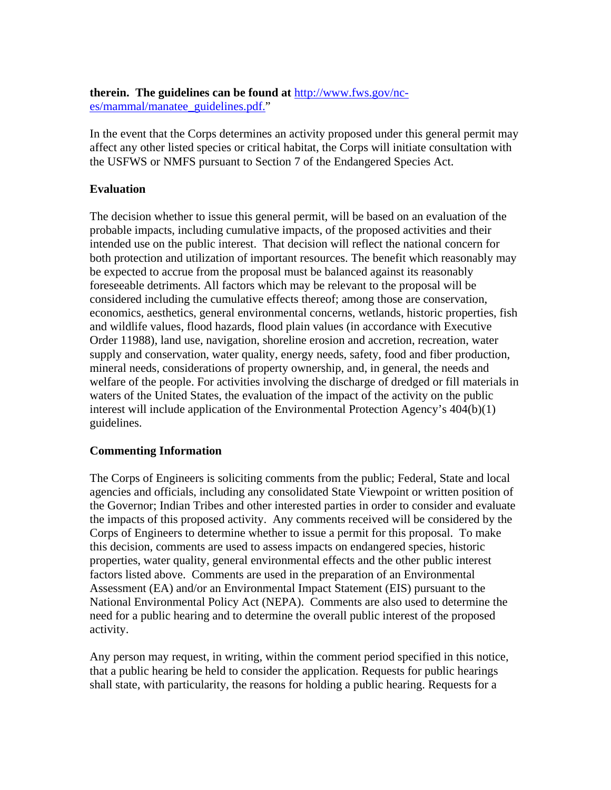**therein. The guidelines can be found at** [http://www.fws.gov/nc](http://www.fws.gov/nc-es/mammal/manatee_guidelines.pdf)[es/mammal/manatee\\_guidelines.pdf.](http://www.fws.gov/nc-es/mammal/manatee_guidelines.pdf)"

In the event that the Corps determines an activity proposed under this general permit may affect any other listed species or critical habitat, the Corps will initiate consultation with the USFWS or NMFS pursuant to Section 7 of the Endangered Species Act.

## **Evaluation**

The decision whether to issue this general permit, will be based on an evaluation of the probable impacts, including cumulative impacts, of the proposed activities and their intended use on the public interest. That decision will reflect the national concern for both protection and utilization of important resources. The benefit which reasonably may be expected to accrue from the proposal must be balanced against its reasonably foreseeable detriments. All factors which may be relevant to the proposal will be considered including the cumulative effects thereof; among those are conservation, economics, aesthetics, general environmental concerns, wetlands, historic properties, fish and wildlife values, flood hazards, flood plain values (in accordance with Executive Order 11988), land use, navigation, shoreline erosion and accretion, recreation, water supply and conservation, water quality, energy needs, safety, food and fiber production, mineral needs, considerations of property ownership, and, in general, the needs and welfare of the people. For activities involving the discharge of dredged or fill materials in waters of the United States, the evaluation of the impact of the activity on the public interest will include application of the Environmental Protection Agency's 404(b)(1) guidelines.

### **Commenting Information**

The Corps of Engineers is soliciting comments from the public; Federal, State and local agencies and officials, including any consolidated State Viewpoint or written position of the Governor; Indian Tribes and other interested parties in order to consider and evaluate the impacts of this proposed activity. Any comments received will be considered by the Corps of Engineers to determine whether to issue a permit for this proposal. To make this decision, comments are used to assess impacts on endangered species, historic properties, water quality, general environmental effects and the other public interest factors listed above. Comments are used in the preparation of an Environmental Assessment (EA) and/or an Environmental Impact Statement (EIS) pursuant to the National Environmental Policy Act (NEPA). Comments are also used to determine the need for a public hearing and to determine the overall public interest of the proposed activity.

Any person may request, in writing, within the comment period specified in this notice, that a public hearing be held to consider the application. Requests for public hearings shall state, with particularity, the reasons for holding a public hearing. Requests for a